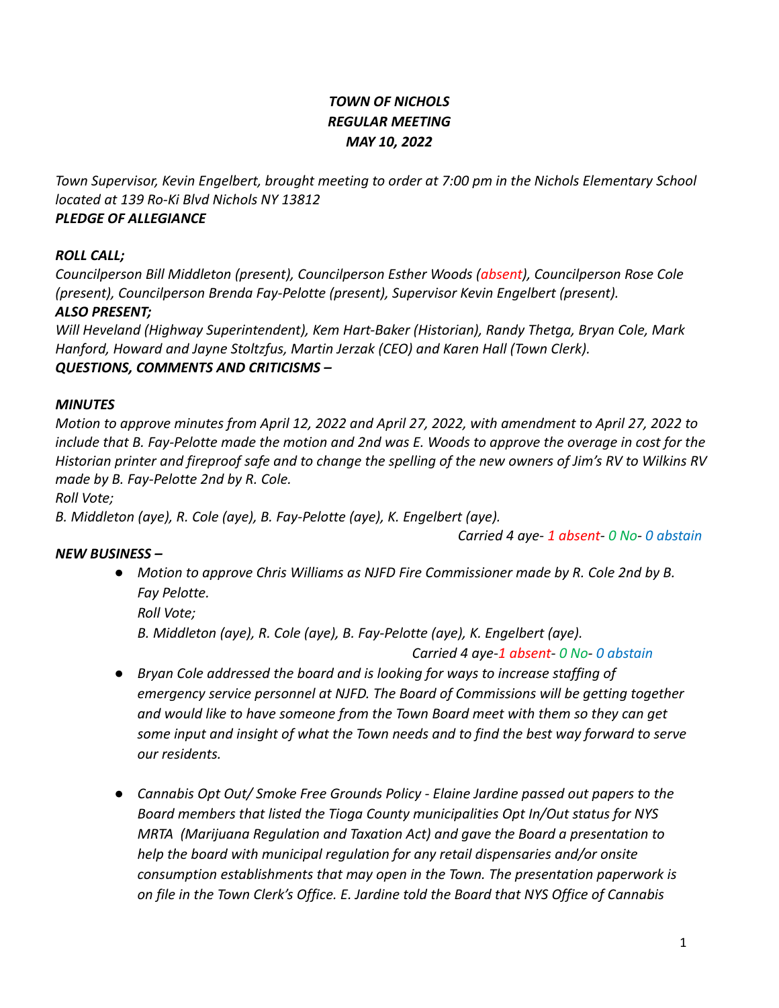# *TOWN OF NICHOLS REGULAR MEETING MAY 10, 2022*

*Town Supervisor, Kevin Engelbert, brought meeting to order at 7:00 pm in the Nichols Elementary School located at 139 Ro-Ki Blvd Nichols NY 13812*

# *PLEDGE OF ALLEGIANCE*

# *ROLL CALL;*

*Councilperson Bill Middleton (present), Councilperson Esther Woods (absent), Councilperson Rose Cole (present), Councilperson Brenda Fay-Pelotte (present), Supervisor Kevin Engelbert (present).*

# *ALSO PRESENT;*

*Will Heveland (Highway Superintendent), Kem Hart-Baker (Historian), Randy Thetga, Bryan Cole, Mark Hanford, Howard and Jayne Stoltzfus, Martin Jerzak (CEO) and Karen Hall (Town Clerk). QUESTIONS, COMMENTS AND CRITICISMS –*

## *MINUTES*

*Motion to approve minutes from April 12, 2022 and April 27, 2022, with amendment to April 27, 2022 to include that B. Fay-Pelotte made the motion and 2nd was E. Woods to approve the overage in cost for the Historian printer and fireproof safe and to change the spelling of the new owners of Jim's RV to Wilkins RV made by B. Fay-Pelotte 2nd by R. Cole.*

*Roll Vote;*

*B. Middleton (aye), R. Cole (aye), B. Fay-Pelotte (aye), K. Engelbert (aye).*

*Carried 4 aye- 1 absent- 0 No- 0 abstain*

## *NEW BUSINESS –*

*● Motion to approve Chris Williams as NJFD Fire Commissioner made by R. Cole 2nd by B. Fay Pelotte. Roll Vote; B. Middleton (aye), R. Cole (aye), B. Fay-Pelotte (aye), K. Engelbert (aye).*

*Carried 4 aye-1 absent- 0 No- 0 abstain*

- *● Bryan Cole addressed the board and is looking for ways to increase staffing of emergency service personnel at NJFD. The Board of Commissions will be getting together and would like to have someone from the Town Board meet with them so they can get some input and insight of what the Town needs and to find the best way forward to serve our residents.*
- *● Cannabis Opt Out/ Smoke Free Grounds Policy Elaine Jardine passed out papers to the Board members that listed the Tioga County municipalities Opt In/Out status for NYS MRTA (Marijuana Regulation and Taxation Act) and gave the Board a presentation to help the board with municipal regulation for any retail dispensaries and/or onsite consumption establishments that may open in the Town. The presentation paperwork is on file in the Town Clerk's Office. E. Jardine told the Board that NYS Office of Cannabis*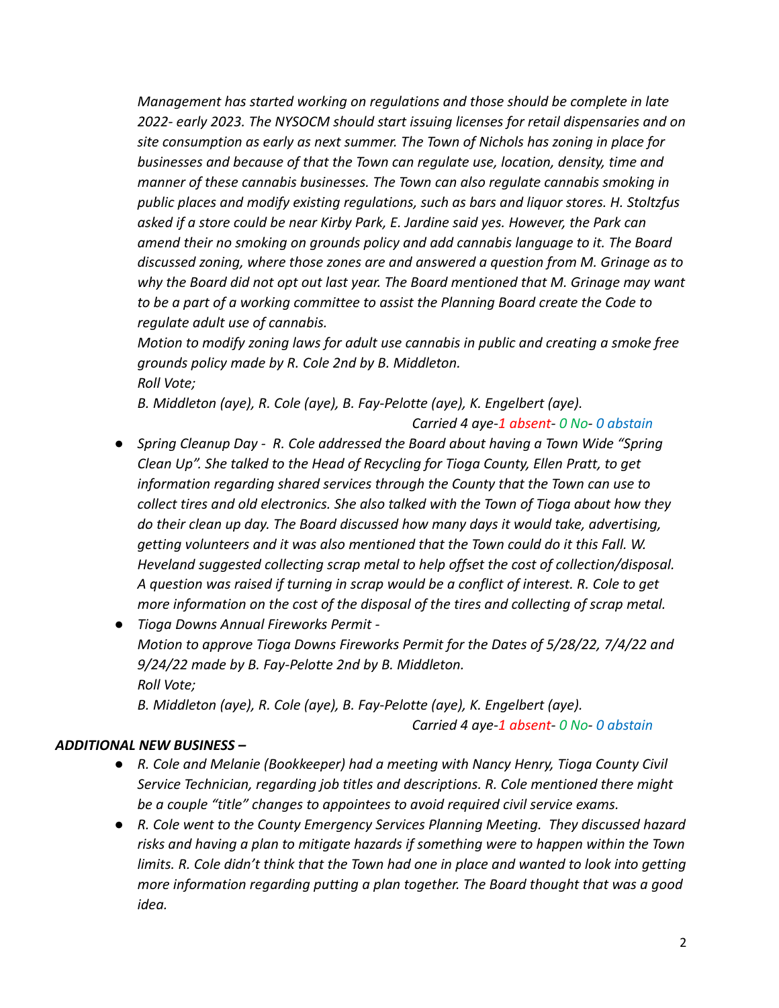*Management has started working on regulations and those should be complete in late 2022- early 2023. The NYSOCM should start issuing licenses for retail dispensaries and on site consumption as early as next summer. The Town of Nichols has zoning in place for businesses and because of that the Town can regulate use, location, density, time and manner of these cannabis businesses. The Town can also regulate cannabis smoking in public places and modify existing regulations, such as bars and liquor stores. H. Stoltzfus asked if a store could be near Kirby Park, E. Jardine said yes. However, the Park can amend their no smoking on grounds policy and add cannabis language to it. The Board discussed zoning, where those zones are and answered a question from M. Grinage as to why the Board did not opt out last year. The Board mentioned that M. Grinage may want to be a part of a working committee to assist the Planning Board create the Code to regulate adult use of cannabis.*

*Motion to modify zoning laws for adult use cannabis in public and creating a smoke free grounds policy made by R. Cole 2nd by B. Middleton. Roll Vote;*

*B. Middleton (aye), R. Cole (aye), B. Fay-Pelotte (aye), K. Engelbert (aye).*

*Carried 4 aye-1 absent- 0 No- 0 abstain*

- *● Spring Cleanup Day R. Cole addressed the Board about having a Town Wide "Spring Clean Up". She talked to the Head of Recycling for Tioga County, Ellen Pratt, to get information regarding shared services through the County that the Town can use to collect tires and old electronics. She also talked with the Town of Tioga about how they do their clean up day. The Board discussed how many days it would take, advertising, getting volunteers and it was also mentioned that the Town could do it this Fall. W. Heveland suggested collecting scrap metal to help offset the cost of collection/disposal. A question was raised if turning in scrap would be a conflict of interest. R. Cole to get more information on the cost of the disposal of the tires and collecting of scrap metal.*
- *● Tioga Downs Annual Fireworks Permit - Motion to approve Tioga Downs Fireworks Permit for the Dates of 5/28/22, 7/4/22 and 9/24/22 made by B. Fay-Pelotte 2nd by B. Middleton. Roll Vote; B. Middleton (aye), R. Cole (aye), B. Fay-Pelotte (aye), K. Engelbert (aye).*

*Carried 4 aye-1 absent- 0 No- 0 abstain*

#### *ADDITIONAL NEW BUSINESS –*

- *● R. Cole and Melanie (Bookkeeper) had a meeting with Nancy Henry, Tioga County Civil Service Technician, regarding job titles and descriptions. R. Cole mentioned there might be a couple "title" changes to appointees to avoid required civil service exams.*
- *● R. Cole went to the County Emergency Services Planning Meeting. They discussed hazard risks and having a plan to mitigate hazards if something were to happen within the Town limits. R. Cole didn't think that the Town had one in place and wanted to look into getting more information regarding putting a plan together. The Board thought that was a good idea.*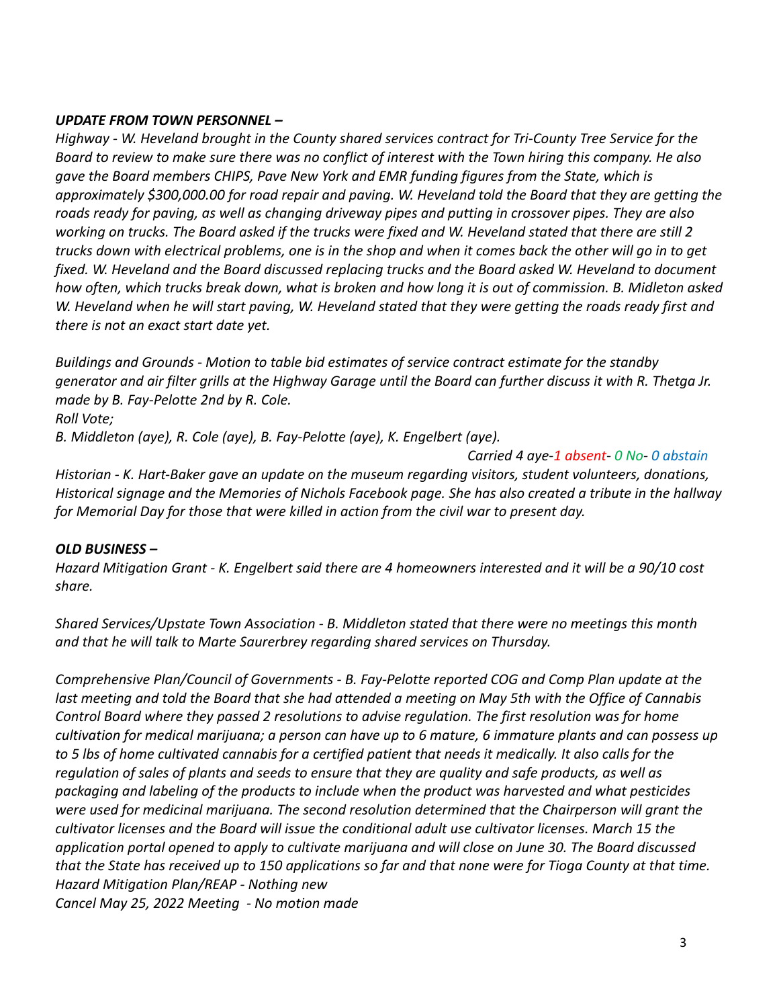## *UPDATE FROM TOWN PERSONNEL –*

*Highway - W. Heveland brought in the County shared services contract for Tri-County Tree Service for the Board to review to make sure there was no conflict of interest with the Town hiring this company. He also gave the Board members CHIPS, Pave New York and EMR funding figures from the State, which is approximately \$300,000.00 for road repair and paving. W. Heveland told the Board that they are getting the roads ready for paving, as well as changing driveway pipes and putting in crossover pipes. They are also working on trucks. The Board asked if the trucks were fixed and W. Heveland stated that there are still 2 trucks down with electrical problems, one is in the shop and when it comes back the other will go in to get fixed. W. Heveland and the Board discussed replacing trucks and the Board asked W. Heveland to document how often, which trucks break down, what is broken and how long it is out of commission. B. Midleton asked W. Heveland when he will start paving, W. Heveland stated that they were getting the roads ready first and there is not an exact start date yet.*

*Buildings and Grounds - Motion to table bid estimates of service contract estimate for the standby generator and air filter grills at the Highway Garage until the Board can further discuss it with R. Thetga Jr. made by B. Fay-Pelotte 2nd by R. Cole. Roll Vote;*

*B. Middleton (aye), R. Cole (aye), B. Fay-Pelotte (aye), K. Engelbert (aye).*

*Carried 4 aye-1 absent- 0 No- 0 abstain Historian - K. Hart-Baker gave an update on the museum regarding visitors, student volunteers, donations, Historical signage and the Memories of Nichols Facebook page. She has also created a tribute in the hallway for Memorial Day for those that were killed in action from the civil war to present day.*

# *OLD BUSINESS –*

*Hazard Mitigation Grant - K. Engelbert said there are 4 homeowners interested and it will be a 90/10 cost share.*

*Shared Services/Upstate Town Association - B. Middleton stated that there were no meetings this month and that he will talk to Marte Saurerbrey regarding shared services on Thursday.*

*Comprehensive Plan/Council of Governments - B. Fay-Pelotte reported COG and Comp Plan update at the last meeting and told the Board that she had attended a meeting on May 5th with the Office of Cannabis Control Board where they passed 2 resolutions to advise regulation. The first resolution was for home cultivation for medical marijuana; a person can have up to 6 mature, 6 immature plants and can possess up to 5 lbs of home cultivated cannabis for a certified patient that needs it medically. It also calls for the regulation of sales of plants and seeds to ensure that they are quality and safe products, as well as packaging and labeling of the products to include when the product was harvested and what pesticides were used for medicinal marijuana. The second resolution determined that the Chairperson will grant the cultivator licenses and the Board will issue the conditional adult use cultivator licenses. March 15 the application portal opened to apply to cultivate marijuana and will close on June 30. The Board discussed that the State has received up to 150 applications so far and that none were for Tioga County at that time. Hazard Mitigation Plan/REAP - Nothing new Cancel May 25, 2022 Meeting - No motion made*